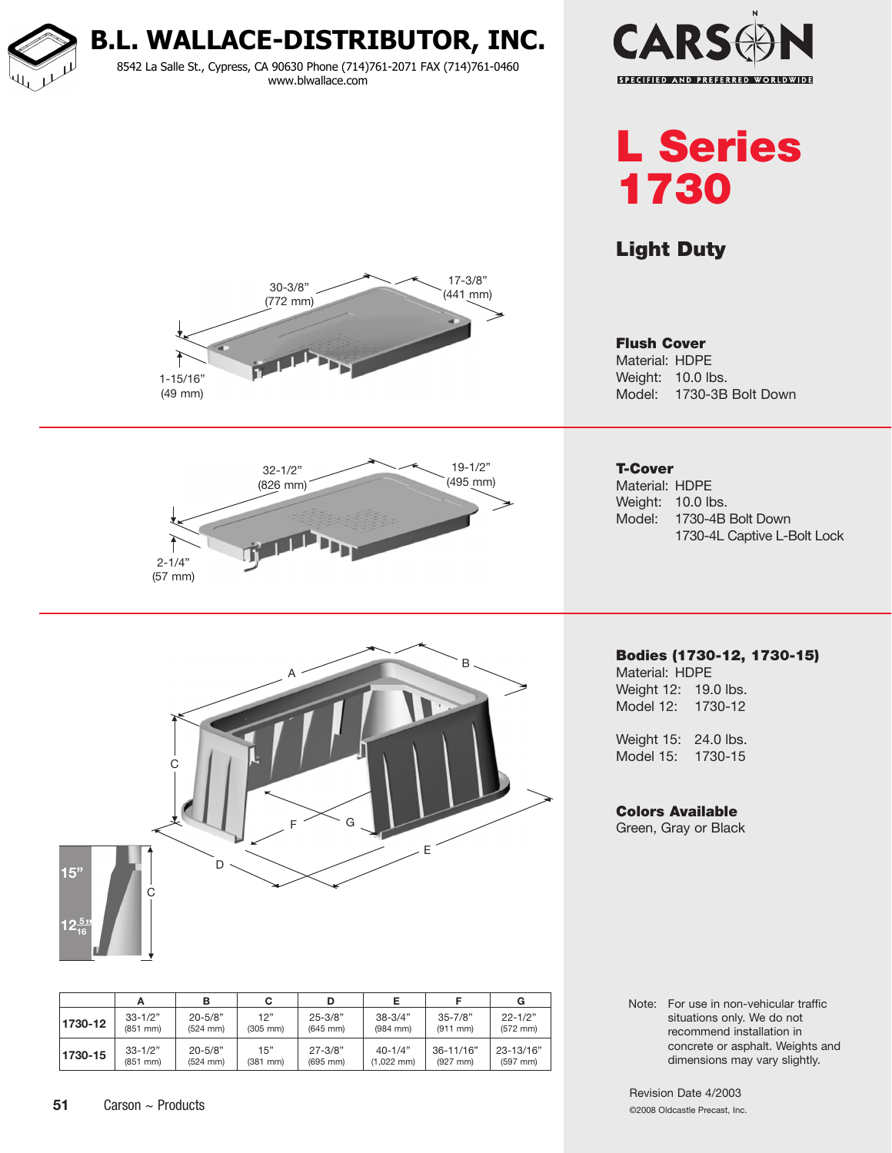

8542 La Salle St., Cypress, CA 90630 Phone (714)761-2071 FAX (714)761-0460 www.blwallace.com



L Series 1730

## Light Duty

Flush Cover Material: HDPE Weight: 10.0 lbs.







Model: 1730-3B Bolt Down

Bodies (1730-12, 1730-15) Material: HDPE Weight 12: 19.0 lbs.

Weight 15: 24.0 lbs. Model 15: 1730-15

Model 12: 1730-12

### Colors Available

Green, Gray or Black

Note: For use in non-vehicular traffic situations only. We do not recommend installation in concrete or asphalt. Weights and dimensions may vary slightly.

Revision Date 4/2003 ©2008 Oldcastle Precast, Inc.



|         |               |               | C             |               |                      |               | G             |
|---------|---------------|---------------|---------------|---------------|----------------------|---------------|---------------|
| 1730-12 | $33 - 1/2"$   | $20 - 5/8"$   | 12"           | $25 - 3/8"$   | $38 - 3/4"$          | $35 - 7/8"$   | $22 - 1/2"$   |
|         | $(851$ mm $)$ | $(524$ mm $)$ | $(305$ mm $)$ | $(645$ mm)    | $(984$ mm $)$        | $(911$ mm $)$ | $(572$ mm $)$ |
| 1730-15 | $33 - 1/2"$   | $20 - 5/8"$   | 15"           | $27 - 3/8"$   | $40 - 1/4"$          | $36 - 11/16"$ | 23-13/16"     |
|         | $(851$ mm $)$ | $(524$ mm $)$ | $(381$ mm $)$ | $(695$ mm $)$ | $(1,022 \text{ mm})$ | $(927$ mm)    | $(597$ mm $)$ |